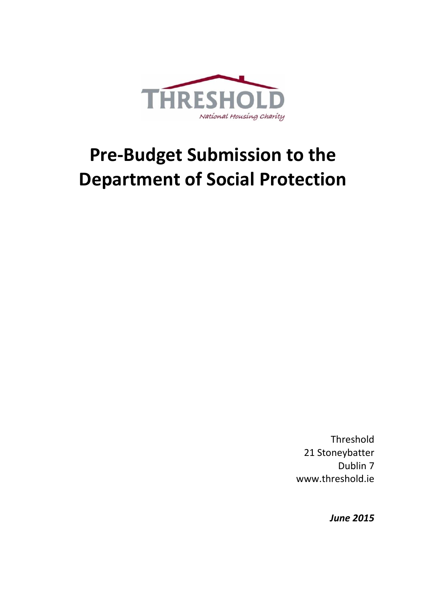

# **Pre-Budget Submission to the Department of Social Protection**

Threshold 21 Stoneybatter Dublin 7 www.threshold.ie

*June 2015*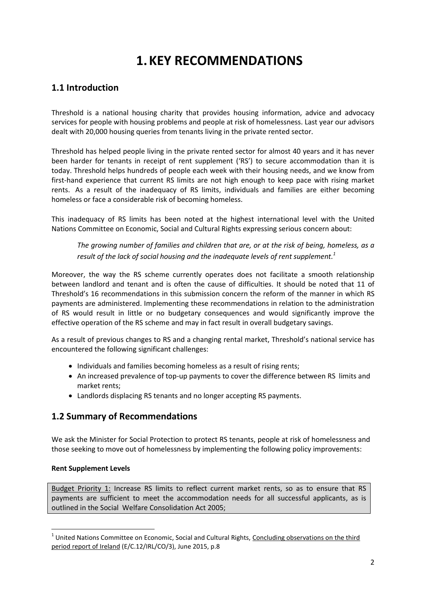# **1.KEY RECOMMENDATIONS**

# **1.1 Introduction**

Threshold is a national housing charity that provides housing information, advice and advocacy services for people with housing problems and people at risk of homelessness. Last year our advisors dealt with 20,000 housing queries from tenants living in the private rented sector.

Threshold has helped people living in the private rented sector for almost 40 years and it has never been harder for tenants in receipt of rent supplement ('RS') to secure accommodation than it is today. Threshold helps hundreds of people each week with their housing needs, and we know from first-hand experience that current RS limits are not high enough to keep pace with rising market rents. As a result of the inadequacy of RS limits, individuals and families are either becoming homeless or face a considerable risk of becoming homeless.

This inadequacy of RS limits has been noted at the highest international level with the United Nations Committee on Economic, Social and Cultural Rights expressing serious concern about:

*The growing number of families and children that are, or at the risk of being, homeless, as a result of the lack of social housing and the inadequate levels of rent supplement. 1*

Moreover, the way the RS scheme currently operates does not facilitate a smooth relationship between landlord and tenant and is often the cause of difficulties. It should be noted that 11 of Threshold's 16 recommendations in this submission concern the reform of the manner in which RS payments are administered. Implementing these recommendations in relation to the administration of RS would result in little or no budgetary consequences and would significantly improve the effective operation of the RS scheme and may in fact result in overall budgetary savings.

As a result of previous changes to RS and a changing rental market, Threshold's national service has encountered the following significant challenges:

- Individuals and families becoming homeless as a result of rising rents;
- An increased prevalence of top-up payments to cover the difference between RS limits and market rents;
- Landlords displacing RS tenants and no longer accepting RS payments.

# **1.2 Summary of Recommendations**

We ask the Minister for Social Protection to protect RS tenants, people at risk of homelessness and those seeking to move out of homelessness by implementing the following policy improvements:

#### **Rent Supplement Levels**

1

Budget Priority 1: Increase RS limits to reflect current market rents, so as to ensure that RS payments are sufficient to meet the accommodation needs for all successful applicants, as is outlined in the Social Welfare Consolidation Act 2005;

<sup>&</sup>lt;sup>1</sup> United Nations Committee on Economic, Social and Cultural Rights, Concluding observations on the third period report of Ireland (E/C.12/IRL/CO/3), June 2015, p.8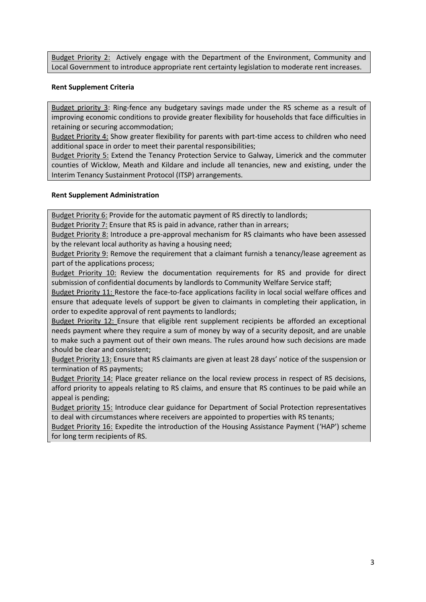Budget Priority 2: Actively engage with the Department of the Environment, Community and Local Government to introduce appropriate rent certainty legislation to moderate rent increases.

#### **Rent Supplement Criteria**

Budget priority 3: Ring-fence any budgetary savings made under the RS scheme as a result of improving economic conditions to provide greater flexibility for households that face difficulties in retaining or securing accommodation;

Budget Priority 4: Show greater flexibility for parents with part-time access to children who need additional space in order to meet their parental responsibilities;

Budget Priority 5: Extend the Tenancy Protection Service to Galway, Limerick and the commuter counties of Wicklow, Meath and Kildare and include all tenancies, new and existing, under the Interim Tenancy Sustainment Protocol (ITSP) arrangements.

#### **Rent Supplement Administration**

Budget Priority 6: Provide for the automatic payment of RS directly to landlords;

Budget Priority 7: Ensure that RS is paid in advance, rather than in arrears;

Budget Priority 8: Introduce a pre-approval mechanism for RS claimants who have been assessed by the relevant local authority as having a housing need;

Budget Priority 9: Remove the requirement that a claimant furnish a tenancy/lease agreement as part of the applications process;

Budget Priority 10: Review the documentation requirements for RS and provide for direct submission of confidential documents by landlords to Community Welfare Service staff;

Budget Priority 11: Restore the face-to-face applications facility in local social welfare offices and ensure that adequate levels of support be given to claimants in completing their application, in order to expedite approval of rent payments to landlords;

Budget Priority 12: Ensure that eligible rent supplement recipients be afforded an exceptional needs payment where they require a sum of money by way of a security deposit, and are unable to make such a payment out of their own means. The rules around how such decisions are made should be clear and consistent;

Budget Priority 13: Ensure that RS claimants are given at least 28 days' notice of the suspension or termination of RS payments;

Budget Priority 14: Place greater reliance on the local review process in respect of RS decisions, afford priority to appeals relating to RS claims, and ensure that RS continues to be paid while an appeal is pending;

Budget priority 15: Introduce clear guidance for Department of Social Protection representatives to deal with circumstances where receivers are appointed to properties with RS tenants;

Budget Priority 16: Expedite the introduction of the Housing Assistance Payment ('HAP') scheme for long term recipients of RS.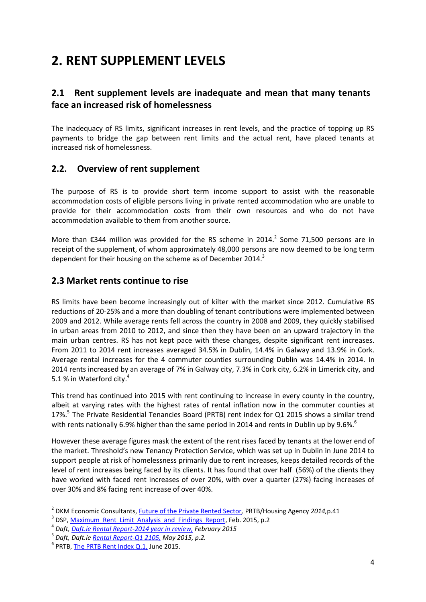# **2. RENT SUPPLEMENT LEVELS**

## **2.1 Rent supplement levels are inadequate and mean that many tenants face an increased risk of homelessness**

The inadequacy of RS limits, significant increases in rent levels, and the practice of topping up RS payments to bridge the gap between rent limits and the actual rent, have placed tenants at increased risk of homelessness.

#### **2.2. Overview of rent supplement**

The purpose of RS is to provide short term income support to assist with the reasonable accommodation costs of eligible persons living in private rented accommodation who are unable to provide for their accommodation costs from their own resources and who do not have accommodation available to them from another source.

More than  $\epsilon$ 344 million was provided for the RS scheme in 2014.<sup>2</sup> Some 71,500 persons are in receipt of the supplement, of whom approximately 48,000 persons are now deemed to be long term dependent for their housing on the scheme as of December 2014.<sup>3</sup>

#### **2.3 Market rents continue to rise**

RS limits have been become increasingly out of kilter with the market since 2012. Cumulative RS reductions of 20-25% and a more than doubling of tenant contributions were implemented between 2009 and 2012. While average rents fell across the country in 2008 and 2009, they quickly stabilised in urban areas from 2010 to 2012, and since then they have been on an upward trajectory in the main urban centres. RS has not kept pace with these changes, despite significant rent increases. From 2011 to 2014 rent increases averaged 34.5% in Dublin, 14.4% in Galway and 13.9% in Cork. Average rental increases for the 4 commuter counties surrounding Dublin was 14.4% in 2014. In 2014 rents increased by an average of 7% in Galway city, 7.3% in Cork city, 6.2% in Limerick city, and 5.1 % in Waterford city.<sup>4</sup>

This trend has continued into 2015 with rent continuing to increase in every county in the country, albeit at varying rates with the highest rates of rental inflation now in the commuter counties at 17%.<sup>5</sup> The Private Residential Tenancies Board (PRTB) rent index for Q1 2015 shows a similar trend with rents nationally 6.9% higher than the same period in 2014 and rents in Dublin up by 9.6%.<sup>6</sup>

However these average figures mask the extent of the rent rises faced by tenants at the lower end of the market. Threshold's new Tenancy Protection Service, which was set up in Dublin in June 2014 to support people at risk of homelessness primarily due to rent increases, keeps detailed records of the level of rent increases being faced by its clients. It has found that over half (56%) of the clients they have worked with faced rent increases of over 20%, with over a quarter (27%) facing increases of over 30% and 8% facing rent increase of over 40%.

<sup>2</sup> DKM Economic Consultants, [Future of the Private Rented Sector](http://dkm.ie/en/news/dkm_reports_on_private_rented_sector_published1)*,* PRTB/Housing Agency *2014,*p.41

<sup>&</sup>lt;sup>3</sup> DSP, [Maximum Rent Limit Analysis and Findings Report,](https://www.welfare.ie/en/downloads/Maximum%20Rent%20Limit%20Analysis%20and%20Findings%20Report%20February%202015.pdf) Feb. 2015, p.2

<sup>4</sup> *Daft, [Daft.ie Rental Report-2014 year in review,](https://www.daft.ie/report/ronan-lyons-2014q4-rental) February 2015*

<sup>5</sup> *Daft, Daft.i[e Rental Report-Q1 2105,](https://c0.dmstatic.com/656/report/q1-2015-daft-rental-report.pdf) May 2015, p.2.*

 $^6$  PRTB, <u>The PRTB Rent Index Q.1,</u> June 2015.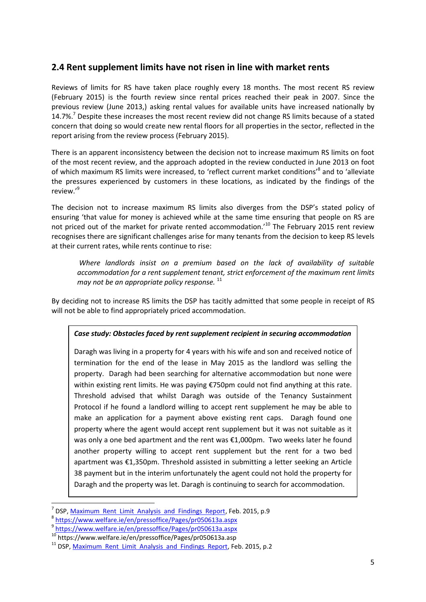#### **2.4 Rent supplement limits have not risen in line with market rents**

Reviews of limits for RS have taken place roughly every 18 months. The most recent RS review (February 2015) is the fourth review since rental prices reached their peak in 2007. Since the previous review (June 2013,) asking rental values for available units have increased nationally by 14.7%.<sup>7</sup> Despite these increases the most recent review did not change RS limits because of a stated concern that doing so would create new rental floors for all properties in the sector, reflected in the report arising from the review process (February 2015).

There is an apparent inconsistency between the decision not to increase maximum RS limits on foot of the most recent review, and the approach adopted in the review conducted in June 2013 on foot of which maximum RS limits were increased, to 'reflect current market conditions'<sup>8</sup> and to 'alleviate the pressures experienced by customers in these locations, as indicated by the findings of the review.' 9

The decision not to increase maximum RS limits also diverges from the DSP's stated policy of ensuring 'that value for money is achieved while at the same time ensuring that people on RS are not priced out of the market for private rented accommodation.<sup>10</sup> The February 2015 rent review recognises there are significant challenges arise for many tenants from the decision to keep RS levels at their current rates, while rents continue to rise:

*Where landlords insist on a premium based on the lack of availability of suitable accommodation for a rent supplement tenant, strict enforcement of the maximum rent limits may not be an appropriate policy response.* <sup>11</sup>

By deciding not to increase RS limits the DSP has tacitly admitted that some people in receipt of RS will not be able to find appropriately priced accommodation.

#### *Case study: Obstacles faced by rent supplement recipient in securing accommodation*

Daragh was living in a property for 4 years with his wife and son and received notice of termination for the end of the lease in May 2015 as the landlord was selling the property. Daragh had been searching for alternative accommodation but none were within existing rent limits. He was paying €750pm could not find anything at this rate. Threshold advised that whilst Daragh was outside of the Tenancy Sustainment Protocol if he found a landlord willing to accept rent supplement he may be able to make an application for a payment above existing rent caps. Daragh found one property where the agent would accept rent supplement but it was not suitable as it was only a one bed apartment and the rent was €1,000pm. Two weeks later he found another property willing to accept rent supplement but the rent for a two bed apartment was €1,350pm. Threshold assisted in submitting a letter seeking an Article 38 payment but in the interim unfortunately the agent could not hold the property for Daragh and the property was let. Daragh is continuing to search for accommodation.

<sup>7</sup> DSP, [Maximum Rent Limit Analysis and Findings Report,](https://www.welfare.ie/en/downloads/Maximum%20Rent%20Limit%20Analysis%20and%20Findings%20Report%20February%202015.pdf) Feb. 2015, p.9

<sup>8</sup> <https://www.welfare.ie/en/pressoffice/Pages/pr050613a.aspx>

<sup>9</sup> <https://www.welfare.ie/en/pressoffice/Pages/pr050613a.aspx>

<sup>10</sup> https://www.welfare.ie/en/pressoffice/Pages/pr050613a.asp

 $11$  DSP[, Maximum Rent Limit Analysis and Findings Report,](https://www.welfare.ie/en/downloads/Maximum%20Rent%20Limit%20Analysis%20and%20Findings%20Report%20February%202015.pdf) Feb. 2015, p.2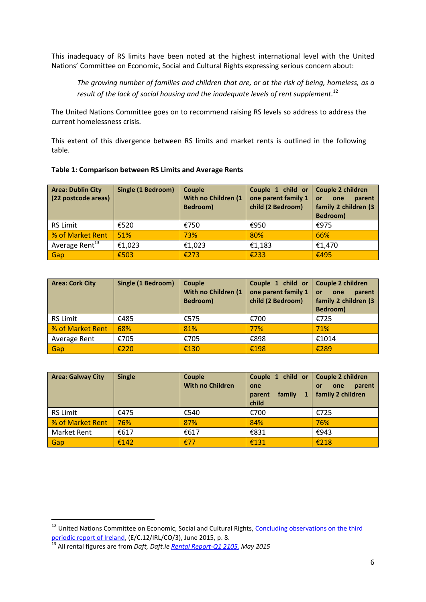This inadequacy of RS limits have been noted at the highest international level with the United Nations' Committee on Economic, Social and Cultural Rights expressing serious concern about:

*The growing number of families and children that are, or at the risk of being, homeless, as a result of the lack of social housing and the inadequate levels of rent supplement.* 12

The United Nations Committee goes on to recommend raising RS levels so address to address the current homelessness crisis.

This extent of this divergence between RS limits and market rents is outlined in the following table.

| <b>Area: Dublin City</b><br>(22 postcode areas) | <b>Single (1 Bedroom)</b> | Couple<br>With no Children (1)<br>Bedroom) | Couple 1 child or<br>one parent family 1<br>child (2 Bedroom) | Couple 2 children<br>parent<br>one<br>or<br>family 2 children (3<br>Bedroom) |
|-------------------------------------------------|---------------------------|--------------------------------------------|---------------------------------------------------------------|------------------------------------------------------------------------------|
| <b>RS Limit</b>                                 | €520                      | €750                                       | €950                                                          | €975                                                                         |
| % of Market Rent                                | 51%                       | 73%                                        | 80%                                                           | 66%                                                                          |
| Average Rent <sup>13</sup>                      | €1,023                    | €1,023                                     | €1,183                                                        | €1,470                                                                       |
| Gap                                             | €503                      | £273                                       | €233                                                          | €495                                                                         |

| Table 1: Comparison between RS Limits and Average Rents |  |  |
|---------------------------------------------------------|--|--|
|                                                         |  |  |

| <b>Area: Cork City</b> | <b>Single (1 Bedroom)</b> | Couple<br>With no Children (1<br>Bedroom) | Couple 1 child or<br>one parent family 1<br>child (2 Bedroom) | Couple 2 children<br>parent<br>one<br>or<br>family 2 children (3<br>Bedroom) |
|------------------------|---------------------------|-------------------------------------------|---------------------------------------------------------------|------------------------------------------------------------------------------|
| <b>RS Limit</b>        | €485                      | €575                                      | €700                                                          | €725                                                                         |
| % of Market Rent       | 68%                       | 81%                                       | 77%                                                           | 71%                                                                          |
| Average Rent           | €705                      | €705                                      | €898                                                          | €1014                                                                        |
| Gap                    | €220                      | €130                                      | €198                                                          | €289                                                                         |

| <b>Area: Galway City</b> | <b>Single</b> | Couple<br><b>With no Children</b> | Couple 1 child or<br>one<br>family<br>parent<br>child | <b>Couple 2 children</b><br>parent<br>one<br>or<br>family 2 children |
|--------------------------|---------------|-----------------------------------|-------------------------------------------------------|----------------------------------------------------------------------|
| <b>RS Limit</b>          | €475          | €540                              | €700                                                  | €725                                                                 |
| % of Market Rent         | 76%           | 87%                               | 84%                                                   | 76%                                                                  |
| Market Rent              | €617          | €617                              | €831                                                  | €943                                                                 |
| Gap                      | €142          | £77                               | €131                                                  | €218                                                                 |

<sup>&</sup>lt;sup>12</sup> United Nations Committee on Economic, Social and Cultural Rights, Concluding observations on the third [periodic report of Ireland,](http://tbinternet.ohchr.org/_layouts/treatybodyexternal/Download.aspx?symbolno=E%20C.12%20IRL%20CO%203&Lang=en) (E/C.12/IRL/CO/3), June 2015, p. 8.

<sup>13</sup> All rental figures are from *Daft, Daft.i[e Rental Report-Q1 2105,](https://c0.dmstatic.com/656/report/q1-2015-daft-rental-report.pdf) May 2015*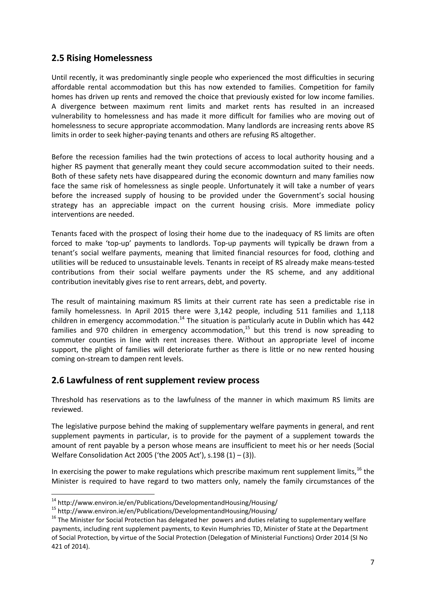### **2.5 Rising Homelessness**

Until recently, it was predominantly single people who experienced the most difficulties in securing affordable rental accommodation but this has now extended to families. Competition for family homes has driven up rents and removed the choice that previously existed for low income families. A divergence between maximum rent limits and market rents has resulted in an increased vulnerability to homelessness and has made it more difficult for families who are moving out of homelessness to secure appropriate accommodation. Many landlords are increasing rents above RS limits in order to seek higher-paying tenants and others are refusing RS altogether.

Before the recession families had the twin protections of access to local authority housing and a higher RS payment that generally meant they could secure accommodation suited to their needs. Both of these safety nets have disappeared during the economic downturn and many families now face the same risk of homelessness as single people. Unfortunately it will take a number of years before the increased supply of housing to be provided under the Government's social housing strategy has an appreciable impact on the current housing crisis. More immediate policy interventions are needed.

Tenants faced with the prospect of losing their home due to the inadequacy of RS limits are often forced to make 'top-up' payments to landlords. Top-up payments will typically be drawn from a tenant's social welfare payments, meaning that limited financial resources for food, clothing and utilities will be reduced to unsustainable levels. Tenants in receipt of RS already make means-tested contributions from their social welfare payments under the RS scheme, and any additional contribution inevitably gives rise to rent arrears, debt, and poverty.

The result of maintaining maximum RS limits at their current rate has seen a predictable rise in family homelessness. In April 2015 there were 3,142 people, including 511 families and 1,118 children in emergency accommodation.<sup>14</sup> The situation is particularly acute in Dublin which has 442 families and 970 children in emergency accommodation,<sup>15</sup> but this trend is now spreading to commuter counties in line with rent increases there. Without an appropriate level of income support, the plight of families will deteriorate further as there is little or no new rented housing coming on-stream to dampen rent levels.

#### **2.6 Lawfulness of rent supplement review process**

Threshold has reservations as to the lawfulness of the manner in which maximum RS limits are reviewed.

The legislative purpose behind the making of supplementary welfare payments in general, and rent supplement payments in particular, is to provide for the payment of a supplement towards the amount of rent payable by a person whose means are insufficient to meet his or her needs (Social Welfare Consolidation Act 2005 ('the 2005 Act'), s.198 (1) – (3)).

In exercising the power to make regulations which prescribe maximum rent supplement limits.<sup>16</sup> the Minister is required to have regard to two matters only, namely the family circumstances of the

**.** 

<sup>&</sup>lt;sup>14</sup> http://www.environ.ie/en/Publications/DevelopmentandHousing/Housing/

<sup>15</sup> http://www.environ.ie/en/Publications/DevelopmentandHousing/Housing/

<sup>&</sup>lt;sup>16</sup> The Minister for Social Protection has delegated her powers and duties relating to supplementary welfare payments, including rent supplement payments, to Kevin Humphries TD, Minister of State at the Department of Social Protection, by virtue of the Social Protection (Delegation of Ministerial Functions) Order 2014 (SI No 421 of 2014).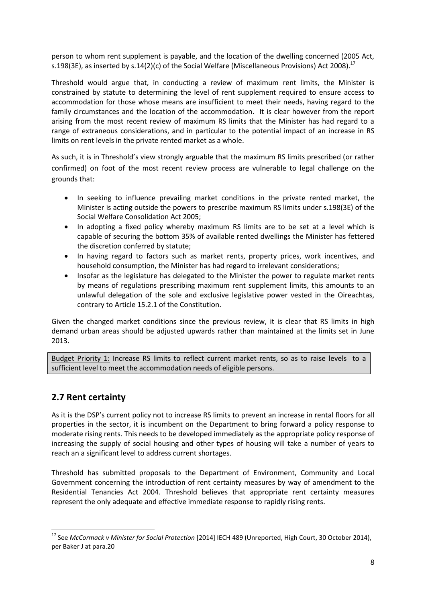person to whom rent supplement is payable, and the location of the dwelling concerned (2005 Act, s.198(3E), as inserted by s.14(2)(c) of the Social Welfare (Miscellaneous Provisions) Act 2008).<sup>17</sup>

Threshold would argue that, in conducting a review of maximum rent limits, the Minister is constrained by statute to determining the level of rent supplement required to ensure access to accommodation for those whose means are insufficient to meet their needs, having regard to the family circumstances and the location of the accommodation. It is clear however from the report arising from the most recent review of maximum RS limits that the Minister has had regard to a range of extraneous considerations, and in particular to the potential impact of an increase in RS limits on rent levels in the private rented market as a whole.

As such, it is in Threshold's view strongly arguable that the maximum RS limits prescribed (or rather confirmed) on foot of the most recent review process are vulnerable to legal challenge on the grounds that:

- In seeking to influence prevailing market conditions in the private rented market, the Minister is acting outside the powers to prescribe maximum RS limits under s.198(3E) of the Social Welfare Consolidation Act 2005;
- In adopting a fixed policy whereby maximum RS limits are to be set at a level which is capable of securing the bottom 35% of available rented dwellings the Minister has fettered the discretion conferred by statute;
- In having regard to factors such as market rents, property prices, work incentives, and household consumption, the Minister has had regard to irrelevant considerations;
- Insofar as the legislature has delegated to the Minister the power to regulate market rents by means of regulations prescribing maximum rent supplement limits, this amounts to an unlawful delegation of the sole and exclusive legislative power vested in the Oireachtas, contrary to Article 15.2.1 of the Constitution.

Given the changed market conditions since the previous review, it is clear that RS limits in high demand urban areas should be adjusted upwards rather than maintained at the limits set in June 2013.

Budget Priority 1: Increase RS limits to reflect current market rents, so as to raise levels to a sufficient level to meet the accommodation needs of eligible persons.

#### **2.7 Rent certainty**

As it is the DSP's current policy not to increase RS limits to prevent an increase in rental floors for all properties in the sector, it is incumbent on the Department to bring forward a policy response to moderate rising rents. This needs to be developed immediately as the appropriate policy response of increasing the supply of social housing and other types of housing will take a number of years to reach an a significant level to address current shortages.

Threshold has submitted proposals to the Department of Environment, Community and Local Government concerning the introduction of rent certainty measures by way of amendment to the Residential Tenancies Act 2004. Threshold believes that appropriate rent certainty measures represent the only adequate and effective immediate response to rapidly rising rents.

<sup>1</sup> <sup>17</sup> See *McCormack v Minister for Social Protection* [2014] IECH 489 (Unreported, High Court, 30 October 2014), per Baker J at para.20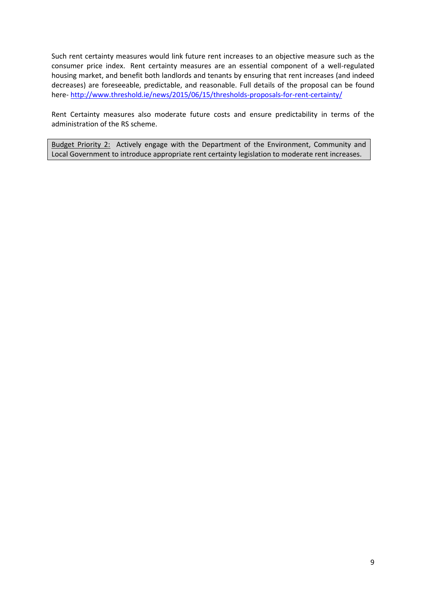Such rent certainty measures would link future rent increases to an objective measure such as the consumer price index. Rent certainty measures are an essential component of a well-regulated housing market, and benefit both landlords and tenants by ensuring that rent increases (and indeed decreases) are foreseeable, predictable, and reasonable. Full details of the proposal can be found here- <http://www.threshold.ie/news/2015/06/15/thresholds-proposals-for-rent-certainty/>

Rent Certainty measures also moderate future costs and ensure predictability in terms of the administration of the RS scheme.

Budget Priority 2: Actively engage with the Department of the Environment, Community and Local Government to introduce appropriate rent certainty legislation to moderate rent increases.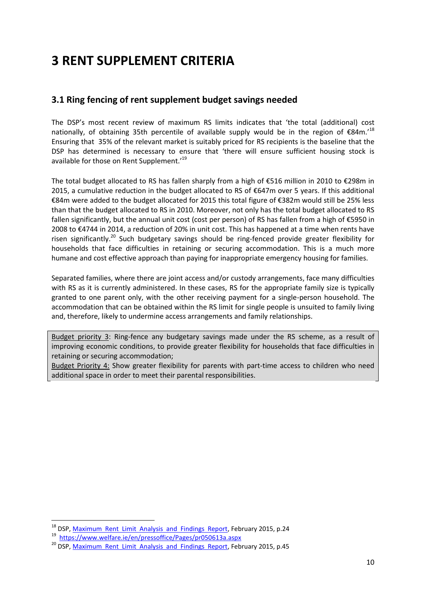# **3 RENT SUPPLEMENT CRITERIA**

### **3.1 Ring fencing of rent supplement budget savings needed**

The DSP's most recent review of maximum RS limits indicates that 'the total (additional) cost nationally, of obtaining 35th percentile of available supply would be in the region of  $\epsilon$ 84m.<sup>'18</sup> Ensuring that 35% of the relevant market is suitably priced for RS recipients is the baseline that the DSP has determined is necessary to ensure that 'there will ensure sufficient housing stock is available for those on Rent Supplement.'<sup>19</sup>

The total budget allocated to RS has fallen sharply from a high of €516 million in 2010 to €298m in 2015, a cumulative reduction in the budget allocated to RS of  $\epsilon$ 647m over 5 years. If this additional €84m were added to the budget allocated for 2015 this total figure of €382m would still be 25% less than that the budget allocated to RS in 2010. Moreover, not only has the total budget allocated to RS fallen significantly, but the annual unit cost (cost per person) of RS has fallen from a high of €5950 in 2008 to €4744 in 2014, a reduction of 20% in unit cost. This has happened at a time when rents have risen significantly.<sup>20</sup> Such budgetary savings should be ring-fenced provide greater flexibility for households that face difficulties in retaining or securing accommodation. This is a much more humane and cost effective approach than paying for inappropriate emergency housing for families.

Separated families, where there are joint access and/or custody arrangements, face many difficulties with RS as it is currently administered. In these cases, RS for the appropriate family size is typically granted to one parent only, with the other receiving payment for a single-person household. The accommodation that can be obtained within the RS limit for single people is unsuited to family living and, therefore, likely to undermine access arrangements and family relationships.

Budget priority 3: Ring-fence any budgetary savings made under the RS scheme, as a result of improving economic conditions, to provide greater flexibility for households that face difficulties in retaining or securing accommodation;

Budget Priority 4: Show greater flexibility for parents with part-time access to children who need additional space in order to meet their parental responsibilities.

**.** 

<sup>&</sup>lt;sup>18</sup> DSP[, Maximum Rent Limit Analysis and Findings Report,](https://www.welfare.ie/en/downloads/Maximum%20Rent%20Limit%20Analysis%20and%20Findings%20Report%20February%202015.pdf) February 2015, p.24

<sup>&</sup>lt;sup>19</sup> <https://www.welfare.ie/en/pressoffice/Pages/pr050613a.aspx>

<sup>&</sup>lt;sup>20</sup> DSP. Maximum Rent Limit Analysis and Findings Report, February 2015, p.45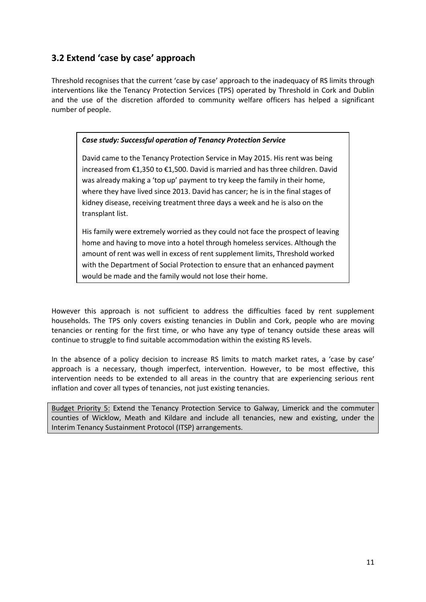# **3.2 Extend 'case by case' approach**

Threshold recognises that the current 'case by case' approach to the inadequacy of RS limits through interventions like the Tenancy Protection Services (TPS) operated by Threshold in Cork and Dublin and the use of the discretion afforded to community welfare officers has helped a significant number of people.

#### *Case study: Successful operation of Tenancy Protection Service*

David came to the Tenancy Protection Service in May 2015. His rent was being increased from €1,350 to €1,500. David is married and has three children. David was already making a 'top up' payment to try keep the family in their home, where they have lived since 2013. David has cancer; he is in the final stages of kidney disease, receiving treatment three days a week and he is also on the transplant list.

His family were extremely worried as they could not face the prospect of leaving home and having to move into a hotel through homeless services. Although the amount of rent was well in excess of rent supplement limits, Threshold worked with the Department of Social Protection to ensure that an enhanced payment would be made and the family would not lose their home.

However this approach is not sufficient to address the difficulties faced by rent supplement households. The TPS only covers existing tenancies in Dublin and Cork, people who are moving tenancies or renting for the first time, or who have any type of tenancy outside these areas will continue to struggle to find suitable accommodation within the existing RS levels.

In the absence of a policy decision to increase RS limits to match market rates, a 'case by case' approach is a necessary, though imperfect, intervention. However, to be most effective, this intervention needs to be extended to all areas in the country that are experiencing serious rent inflation and cover all types of tenancies, not just existing tenancies.

Budget Priority 5: Extend the Tenancy Protection Service to Galway, Limerick and the commuter counties of Wicklow, Meath and Kildare and include all tenancies, new and existing, under the Interim Tenancy Sustainment Protocol (ITSP) arrangements.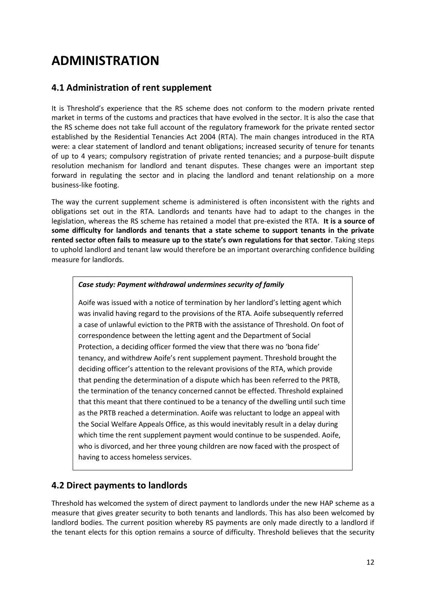# **ADMINISTRATION**

### **4.1 Administration of rent supplement**

It is Threshold's experience that the RS scheme does not conform to the modern private rented market in terms of the customs and practices that have evolved in the sector. It is also the case that the RS scheme does not take full account of the regulatory framework for the private rented sector established by the Residential Tenancies Act 2004 (RTA). The main changes introduced in the RTA were: a clear statement of landlord and tenant obligations; increased security of tenure for tenants of up to 4 years; compulsory registration of private rented tenancies; and a purpose-built dispute resolution mechanism for landlord and tenant disputes. These changes were an important step forward in regulating the sector and in placing the landlord and tenant relationship on a more business-like footing.

The way the current supplement scheme is administered is often inconsistent with the rights and obligations set out in the RTA. Landlords and tenants have had to adapt to the changes in the legislation, whereas the RS scheme has retained a model that pre-existed the RTA. **It is a source of some difficulty for landlords and tenants that a state scheme to support tenants in the private rented sector often fails to measure up to the state's own regulations for that sector**. Taking steps to uphold landlord and tenant law would therefore be an important overarching confidence building measure for landlords.

#### *Case study: Payment withdrawal undermines security of family*

Aoife was issued with a notice of termination by her landlord's letting agent which was invalid having regard to the provisions of the RTA. Aoife subsequently referred a case of unlawful eviction to the PRTB with the assistance of Threshold. On foot of correspondence between the letting agent and the Department of Social Protection, a deciding officer formed the view that there was no 'bona fide' tenancy, and withdrew Aoife's rent supplement payment. Threshold brought the deciding officer's attention to the relevant provisions of the RTA, which provide that pending the determination of a dispute which has been referred to the PRTB, the termination of the tenancy concerned cannot be effected. Threshold explained that this meant that there continued to be a tenancy of the dwelling until such time as the PRTB reached a determination. Aoife was reluctant to lodge an appeal with the Social Welfare Appeals Office, as this would inevitably result in a delay during which time the rent supplement payment would continue to be suspended. Aoife, who is divorced, and her three young children are now faced with the prospect of having to access homeless services.

#### **4.2 Direct payments to landlords**

Threshold has welcomed the system of direct payment to landlords under the new HAP scheme as a measure that gives greater security to both tenants and landlords. This has also been welcomed by landlord bodies. The current position whereby RS payments are only made directly to a landlord if the tenant elects for this option remains a source of difficulty. Threshold believes that the security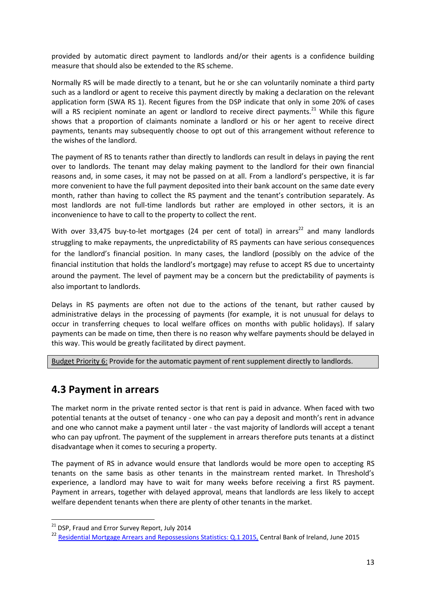provided by automatic direct payment to landlords and/or their agents is a confidence building measure that should also be extended to the RS scheme.

Normally RS will be made directly to a tenant, but he or she can voluntarily nominate a third party such as a landlord or agent to receive this payment directly by making a declaration on the relevant application form (SWA RS 1). Recent figures from the DSP indicate that only in some 20% of cases will a RS recipient nominate an agent or landlord to receive direct payments.<sup>21</sup> While this figure shows that a proportion of claimants nominate a landlord or his or her agent to receive direct payments, tenants may subsequently choose to opt out of this arrangement without reference to the wishes of the landlord.

The payment of RS to tenants rather than directly to landlords can result in delays in paying the rent over to landlords. The tenant may delay making payment to the landlord for their own financial reasons and, in some cases, it may not be passed on at all. From a landlord's perspective, it is far more convenient to have the full payment deposited into their bank account on the same date every month, rather than having to collect the RS payment and the tenant's contribution separately. As most landlords are not full-time landlords but rather are employed in other sectors, it is an inconvenience to have to call to the property to collect the rent.

With over 33,475 buy-to-let mortgages (24 per cent of total) in arrears<sup>22</sup> and many landlords struggling to make repayments, the unpredictability of RS payments can have serious consequences for the landlord's financial position. In many cases, the landlord (possibly on the advice of the financial institution that holds the landlord's mortgage) may refuse to accept RS due to uncertainty around the payment. The level of payment may be a concern but the predictability of payments is also important to landlords.

Delays in RS payments are often not due to the actions of the tenant, but rather caused by administrative delays in the processing of payments (for example, it is not unusual for delays to occur in transferring cheques to local welfare offices on months with public holidays). If salary payments can be made on time, then there is no reason why welfare payments should be delayed in this way. This would be greatly facilitated by direct payment.

Budget Priority 6: Provide for the automatic payment of rent supplement directly to landlords.

# **4.3 Payment in arrears**

The market norm in the private rented sector is that rent is paid in advance. When faced with two potential tenants at the outset of tenancy - one who can pay a deposit and month's rent in advance and one who cannot make a payment until later - the vast majority of landlords will accept a tenant who can pay upfront. The payment of the supplement in arrears therefore puts tenants at a distinct disadvantage when it comes to securing a property.

The payment of RS in advance would ensure that landlords would be more open to accepting RS tenants on the same basis as other tenants in the mainstream rented market. In Threshold's experience, a landlord may have to wait for many weeks before receiving a first RS payment. Payment in arrears, together with delayed approval, means that landlords are less likely to accept welfare dependent tenants when there are plenty of other tenants in the market.

<sup>&</sup>lt;sup>21</sup> DSP, Fraud and Error Survey Report, July 2014

<sup>&</sup>lt;sup>22</sup> [Residential Mortgage Arrears and Repossessions Statistics: Q.1 2015,](http://www.centralbank.ie/polstats/stats/mortgagearrears/Documents/2015q1_ie_mortgage_arrears_statistics.pdf) Central Bank of Ireland, June 2015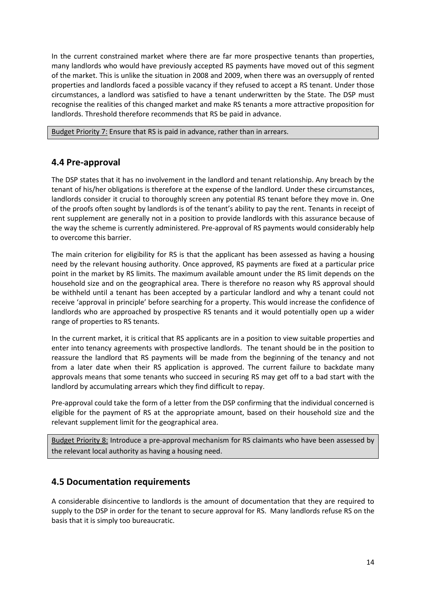In the current constrained market where there are far more prospective tenants than properties, many landlords who would have previously accepted RS payments have moved out of this segment of the market. This is unlike the situation in 2008 and 2009, when there was an oversupply of rented properties and landlords faced a possible vacancy if they refused to accept a RS tenant. Under those circumstances, a landlord was satisfied to have a tenant underwritten by the State. The DSP must recognise the realities of this changed market and make RS tenants a more attractive proposition for landlords. Threshold therefore recommends that RS be paid in advance.

Budget Priority 7: Ensure that RS is paid in advance, rather than in arrears.

#### **4.4 Pre-approval**

The DSP states that it has no involvement in the landlord and tenant relationship. Any breach by the tenant of his/her obligations is therefore at the expense of the landlord. Under these circumstances, landlords consider it crucial to thoroughly screen any potential RS tenant before they move in. One of the proofs often sought by landlords is of the tenant's ability to pay the rent. Tenants in receipt of rent supplement are generally not in a position to provide landlords with this assurance because of the way the scheme is currently administered. Pre-approval of RS payments would considerably help to overcome this barrier.

The main criterion for eligibility for RS is that the applicant has been assessed as having a housing need by the relevant housing authority. Once approved, RS payments are fixed at a particular price point in the market by RS limits. The maximum available amount under the RS limit depends on the household size and on the geographical area. There is therefore no reason why RS approval should be withheld until a tenant has been accepted by a particular landlord and why a tenant could not receive 'approval in principle' before searching for a property. This would increase the confidence of landlords who are approached by prospective RS tenants and it would potentially open up a wider range of properties to RS tenants.

In the current market, it is critical that RS applicants are in a position to view suitable properties and enter into tenancy agreements with prospective landlords. The tenant should be in the position to reassure the landlord that RS payments will be made from the beginning of the tenancy and not from a later date when their RS application is approved. The current failure to backdate many approvals means that some tenants who succeed in securing RS may get off to a bad start with the landlord by accumulating arrears which they find difficult to repay.

Pre-approval could take the form of a letter from the DSP confirming that the individual concerned is eligible for the payment of RS at the appropriate amount, based on their household size and the relevant supplement limit for the geographical area.

Budget Priority 8: Introduce a pre-approval mechanism for RS claimants who have been assessed by the relevant local authority as having a housing need.

#### **4.5 Documentation requirements**

A considerable disincentive to landlords is the amount of documentation that they are required to supply to the DSP in order for the tenant to secure approval for RS. Many landlords refuse RS on the basis that it is simply too bureaucratic.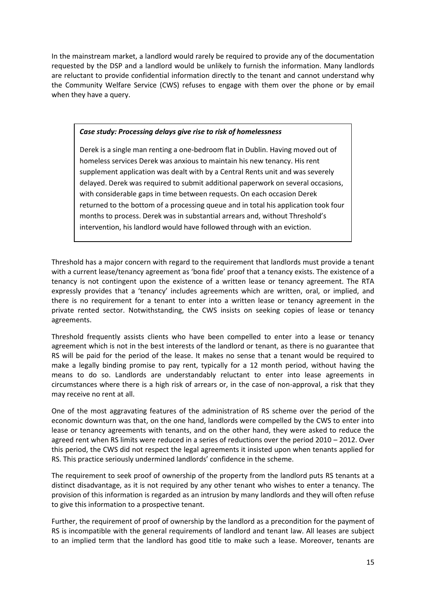In the mainstream market, a landlord would rarely be required to provide any of the documentation requested by the DSP and a landlord would be unlikely to furnish the information. Many landlords are reluctant to provide confidential information directly to the tenant and cannot understand why the Community Welfare Service (CWS) refuses to engage with them over the phone or by email when they have a query.

#### *Case study: Processing delays give rise to risk of homelessness*

Derek is a single man renting a one-bedroom flat in Dublin. Having moved out of homeless services Derek was anxious to maintain his new tenancy. His rent supplement application was dealt with by a Central Rents unit and was severely delayed. Derek was required to submit additional paperwork on several occasions, with considerable gaps in time between requests. On each occasion Derek returned to the bottom of a processing queue and in total his application took four months to process. Derek was in substantial arrears and, without Threshold's intervention, his landlord would have followed through with an eviction.

Threshold has a major concern with regard to the requirement that landlords must provide a tenant with a current lease/tenancy agreement as 'bona fide' proof that a tenancy exists. The existence of a tenancy is not contingent upon the existence of a written lease or tenancy agreement. The RTA expressly provides that a 'tenancy' includes agreements which are written, oral, or implied, and there is no requirement for a tenant to enter into a written lease or tenancy agreement in the private rented sector. Notwithstanding, the CWS insists on seeking copies of lease or tenancy agreements.

Threshold frequently assists clients who have been compelled to enter into a lease or tenancy agreement which is not in the best interests of the landlord or tenant, as there is no guarantee that RS will be paid for the period of the lease. It makes no sense that a tenant would be required to make a legally binding promise to pay rent, typically for a 12 month period, without having the means to do so. Landlords are understandably reluctant to enter into lease agreements in circumstances where there is a high risk of arrears or, in the case of non-approval, a risk that they may receive no rent at all.

One of the most aggravating features of the administration of RS scheme over the period of the economic downturn was that, on the one hand, landlords were compelled by the CWS to enter into lease or tenancy agreements with tenants, and on the other hand, they were asked to reduce the agreed rent when RS limits were reduced in a series of reductions over the period 2010 – 2012. Over this period, the CWS did not respect the legal agreements it insisted upon when tenants applied for RS. This practice seriously undermined landlords' confidence in the scheme.

The requirement to seek proof of ownership of the property from the landlord puts RS tenants at a distinct disadvantage, as it is not required by any other tenant who wishes to enter a tenancy. The provision of this information is regarded as an intrusion by many landlords and they will often refuse to give this information to a prospective tenant.

Further, the requirement of proof of ownership by the landlord as a precondition for the payment of RS is incompatible with the general requirements of landlord and tenant law. All leases are subject to an implied term that the landlord has good title to make such a lease. Moreover, tenants are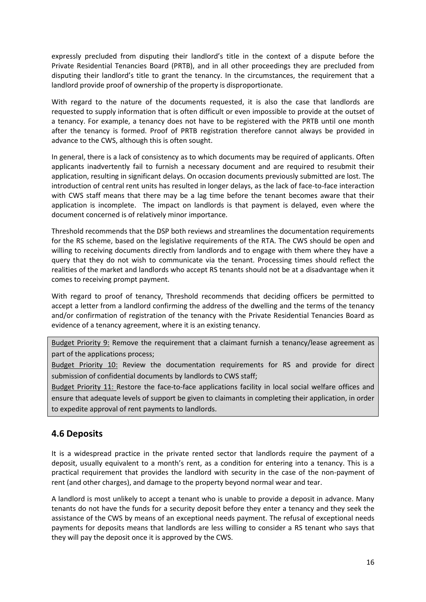expressly precluded from disputing their landlord's title in the context of a dispute before the Private Residential Tenancies Board (PRTB), and in all other proceedings they are precluded from disputing their landlord's title to grant the tenancy. In the circumstances, the requirement that a landlord provide proof of ownership of the property is disproportionate.

With regard to the nature of the documents requested, it is also the case that landlords are requested to supply information that is often difficult or even impossible to provide at the outset of a tenancy. For example, a tenancy does not have to be registered with the PRTB until one month after the tenancy is formed. Proof of PRTB registration therefore cannot always be provided in advance to the CWS, although this is often sought.

In general, there is a lack of consistency as to which documents may be required of applicants. Often applicants inadvertently fail to furnish a necessary document and are required to resubmit their application, resulting in significant delays. On occasion documents previously submitted are lost. The introduction of central rent units has resulted in longer delays, as the lack of face-to-face interaction with CWS staff means that there may be a lag time before the tenant becomes aware that their application is incomplete. The impact on landlords is that payment is delayed, even where the document concerned is of relatively minor importance.

Threshold recommends that the DSP both reviews and streamlines the documentation requirements for the RS scheme, based on the legislative requirements of the RTA. The CWS should be open and willing to receiving documents directly from landlords and to engage with them where they have a query that they do not wish to communicate via the tenant. Processing times should reflect the realities of the market and landlords who accept RS tenants should not be at a disadvantage when it comes to receiving prompt payment.

With regard to proof of tenancy, Threshold recommends that deciding officers be permitted to accept a letter from a landlord confirming the address of the dwelling and the terms of the tenancy and/or confirmation of registration of the tenancy with the Private Residential Tenancies Board as evidence of a tenancy agreement, where it is an existing tenancy.

Budget Priority 9: Remove the requirement that a claimant furnish a tenancy/lease agreement as part of the applications process;

Budget Priority 10: Review the documentation requirements for RS and provide for direct submission of confidential documents by landlords to CWS staff;

Budget Priority 11: Restore the face-to-face applications facility in local social welfare offices and ensure that adequate levels of support be given to claimants in completing their application, in order to expedite approval of rent payments to landlords.

# **4.6 Deposits**

It is a widespread practice in the private rented sector that landlords require the payment of a deposit, usually equivalent to a month's rent, as a condition for entering into a tenancy. This is a practical requirement that provides the landlord with security in the case of the non-payment of rent (and other charges), and damage to the property beyond normal wear and tear.

A landlord is most unlikely to accept a tenant who is unable to provide a deposit in advance. Many tenants do not have the funds for a security deposit before they enter a tenancy and they seek the assistance of the CWS by means of an exceptional needs payment. The refusal of exceptional needs payments for deposits means that landlords are less willing to consider a RS tenant who says that they will pay the deposit once it is approved by the CWS.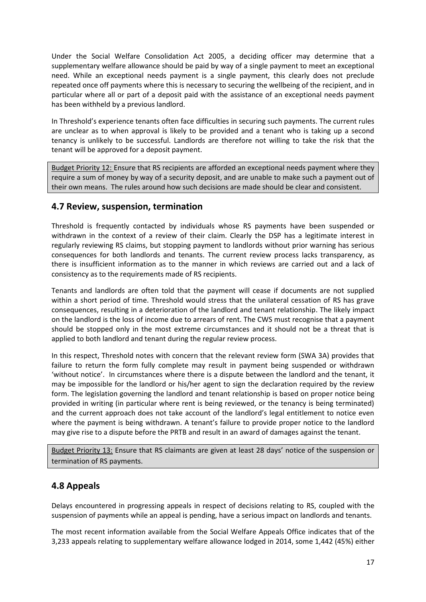Under the Social Welfare Consolidation Act 2005, a deciding officer may determine that a supplementary welfare allowance should be paid by way of a single payment to meet an exceptional need. While an exceptional needs payment is a single payment, this clearly does not preclude repeated once off payments where this is necessary to securing the wellbeing of the recipient, and in particular where all or part of a deposit paid with the assistance of an exceptional needs payment has been withheld by a previous landlord.

In Threshold's experience tenants often face difficulties in securing such payments. The current rules are unclear as to when approval is likely to be provided and a tenant who is taking up a second tenancy is unlikely to be successful. Landlords are therefore not willing to take the risk that the tenant will be approved for a deposit payment.

Budget Priority 12: Ensure that RS recipients are afforded an exceptional needs payment where they require a sum of money by way of a security deposit, and are unable to make such a payment out of their own means. The rules around how such decisions are made should be clear and consistent.

#### **4.7 Review, suspension, termination**

Threshold is frequently contacted by individuals whose RS payments have been suspended or withdrawn in the context of a review of their claim. Clearly the DSP has a legitimate interest in regularly reviewing RS claims, but stopping payment to landlords without prior warning has serious consequences for both landlords and tenants. The current review process lacks transparency, as there is insufficient information as to the manner in which reviews are carried out and a lack of consistency as to the requirements made of RS recipients.

Tenants and landlords are often told that the payment will cease if documents are not supplied within a short period of time. Threshold would stress that the unilateral cessation of RS has grave consequences, resulting in a deterioration of the landlord and tenant relationship. The likely impact on the landlord is the loss of income due to arrears of rent. The CWS must recognise that a payment should be stopped only in the most extreme circumstances and it should not be a threat that is applied to both landlord and tenant during the regular review process.

In this respect, Threshold notes with concern that the relevant review form (SWA 3A) provides that failure to return the form fully complete may result in payment being suspended or withdrawn 'without notice'. In circumstances where there is a dispute between the landlord and the tenant, it may be impossible for the landlord or his/her agent to sign the declaration required by the review form. The legislation governing the landlord and tenant relationship is based on proper notice being provided in writing (in particular where rent is being reviewed, or the tenancy is being terminated) and the current approach does not take account of the landlord's legal entitlement to notice even where the payment is being withdrawn. A tenant's failure to provide proper notice to the landlord may give rise to a dispute before the PRTB and result in an award of damages against the tenant.

Budget Priority 13: Ensure that RS claimants are given at least 28 days' notice of the suspension or termination of RS payments.

# **4.8 Appeals**

Delays encountered in progressing appeals in respect of decisions relating to RS, coupled with the suspension of payments while an appeal is pending, have a serious impact on landlords and tenants.

The most recent information available from the Social Welfare Appeals Office indicates that of the 3,233 appeals relating to supplementary welfare allowance lodged in 2014, some 1,442 (45%) either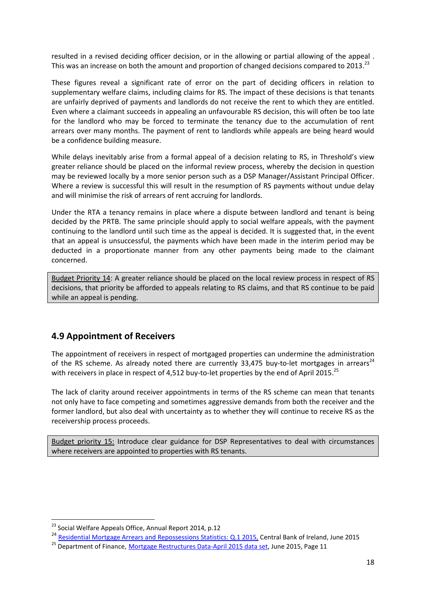resulted in a revised deciding officer decision, or in the allowing or partial allowing of the appeal . This was an increase on both the amount and proportion of changed decisions compared to 2013.<sup>23</sup>

These figures reveal a significant rate of error on the part of deciding officers in relation to supplementary welfare claims, including claims for RS. The impact of these decisions is that tenants are unfairly deprived of payments and landlords do not receive the rent to which they are entitled. Even where a claimant succeeds in appealing an unfavourable RS decision, this will often be too late for the landlord who may be forced to terminate the tenancy due to the accumulation of rent arrears over many months. The payment of rent to landlords while appeals are being heard would be a confidence building measure.

While delays inevitably arise from a formal appeal of a decision relating to RS, in Threshold's view greater reliance should be placed on the informal review process, whereby the decision in question may be reviewed locally by a more senior person such as a DSP Manager/Assistant Principal Officer. Where a review is successful this will result in the resumption of RS payments without undue delay and will minimise the risk of arrears of rent accruing for landlords.

Under the RTA a tenancy remains in place where a dispute between landlord and tenant is being decided by the PRTB. The same principle should apply to social welfare appeals, with the payment continuing to the landlord until such time as the appeal is decided. It is suggested that, in the event that an appeal is unsuccessful, the payments which have been made in the interim period may be deducted in a proportionate manner from any other payments being made to the claimant concerned.

Budget Priority 14: A greater reliance should be placed on the local review process in respect of RS decisions, that priority be afforded to appeals relating to RS claims, and that RS continue to be paid while an appeal is pending.

#### **4.9 Appointment of Receivers**

The appointment of receivers in respect of mortgaged properties can undermine the administration of the RS scheme. As already noted there are currently 33,475 buy-to-let mortgages in arrears<sup>24</sup> with receivers in place in respect of 4,512 buy-to-let properties by the end of April 2015.<sup>25</sup>

The lack of clarity around receiver appointments in terms of the RS scheme can mean that tenants not only have to face competing and sometimes aggressive demands from both the receiver and the former landlord, but also deal with uncertainty as to whether they will continue to receive RS as the receivership process proceeds.

Budget priority 15: Introduce clear guidance for DSP Representatives to deal with circumstances where receivers are appointed to properties with RS tenants.

<sup>&</sup>lt;sup>23</sup> Social Welfare Appeals Office, Annual Report 2014, p.12

<sup>&</sup>lt;sup>24</sup> [Residential Mortgage Arrears and Repossessions Statistics: Q.1 2015,](http://www.centralbank.ie/polstats/stats/mortgagearrears/Documents/2015q1_ie_mortgage_arrears_statistics.pdf) Central Bank of Ireland, June 2015 <sup>25</sup> Department of Finance, [Mortgage Restructures Data-April 2015 data set,](http://www.finance.gov.ie/sites/default/files/Department%20of%20Finance%20-%20Mortgage%20Restructures%20Data%20-%20end%20Apr%202015%20FINAL%20Jun%202015.pdf) June 2015, Page 11